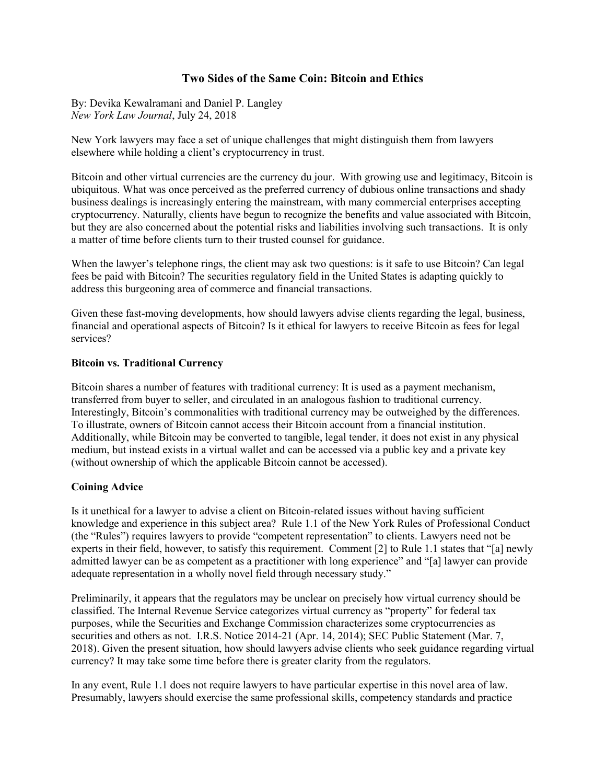# **Two Sides of the Same Coin: Bitcoin and Ethics**

By: Devika Kewalramani and Daniel P. Langley *New York Law Journal*, July 24, 2018

New York lawyers may face a set of unique challenges that might distinguish them from lawyers elsewhere while holding a client's cryptocurrency in trust.

Bitcoin and other virtual currencies are the currency du jour. With growing use and legitimacy, Bitcoin is ubiquitous. What was once perceived as the preferred currency of dubious online transactions and shady business dealings is increasingly entering the mainstream, with many commercial enterprises accepting cryptocurrency. Naturally, clients have begun to recognize the benefits and value associated with Bitcoin, but they are also concerned about the potential risks and liabilities involving such transactions. It is only a matter of time before clients turn to their trusted counsel for guidance.

When the lawyer's telephone rings, the client may ask two questions: is it safe to use Bitcoin? Can legal fees be paid with Bitcoin? The securities regulatory field in the United States is adapting quickly to address this burgeoning area of commerce and financial transactions.

Given these fast-moving developments, how should lawyers advise clients regarding the legal, business, financial and operational aspects of Bitcoin? Is it ethical for lawyers to receive Bitcoin as fees for legal services?

### **Bitcoin vs. Traditional Currency**

Bitcoin shares a number of features with traditional currency: It is used as a payment mechanism, transferred from buyer to seller, and circulated in an analogous fashion to traditional currency. Interestingly, Bitcoin's commonalities with traditional currency may be outweighed by the differences. To illustrate, owners of Bitcoin cannot access their Bitcoin account from a financial institution. Additionally, while Bitcoin may be converted to tangible, legal tender, it does not exist in any physical medium, but instead exists in a virtual wallet and can be accessed via a public key and a private key (without ownership of which the applicable Bitcoin cannot be accessed).

### **Coining Advice**

Is it unethical for a lawyer to advise a client on Bitcoin-related issues without having sufficient knowledge and experience in this subject area? Rule 1.1 of the New York Rules of Professional Conduct (the "Rules") requires lawyers to provide "competent representation" to clients. Lawyers need not be experts in their field, however, to satisfy this requirement. Comment [2] to Rule 1.1 states that "[a] newly admitted lawyer can be as competent as a practitioner with long experience" and "[a] lawyer can provide adequate representation in a wholly novel field through necessary study."

Preliminarily, it appears that the regulators may be unclear on precisely how virtual currency should be classified. The Internal Revenue Service categorizes virtual currency as "property" for federal tax purposes, while the Securities and Exchange Commission characterizes some cryptocurrencies as securities and others as not. I.R.S. Notice 2014-21 (Apr. 14, 2014); SEC Public Statement (Mar. 7, 2018). Given the present situation, how should lawyers advise clients who seek guidance regarding virtual currency? It may take some time before there is greater clarity from the regulators.

In any event, Rule 1.1 does not require lawyers to have particular expertise in this novel area of law. Presumably, lawyers should exercise the same professional skills, competency standards and practice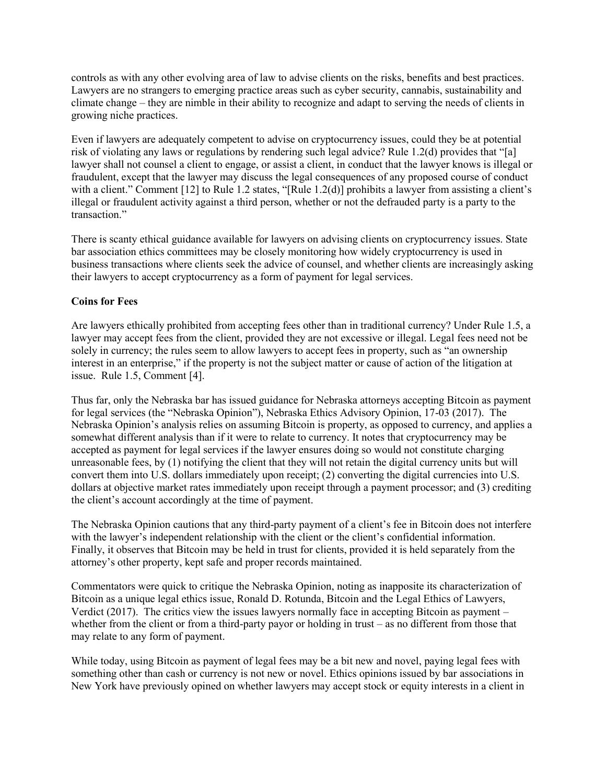controls as with any other evolving area of law to advise clients on the risks, benefits and best practices. Lawyers are no strangers to emerging practice areas such as cyber security, cannabis, sustainability and climate change – they are nimble in their ability to recognize and adapt to serving the needs of clients in growing niche practices.

Even if lawyers are adequately competent to advise on cryptocurrency issues, could they be at potential risk of violating any laws or regulations by rendering such legal advice? Rule 1.2(d) provides that "[a] lawyer shall not counsel a client to engage, or assist a client, in conduct that the lawyer knows is illegal or fraudulent, except that the lawyer may discuss the legal consequences of any proposed course of conduct with a client." Comment [12] to Rule 1.2 states, "[Rule 1.2(d)] prohibits a lawyer from assisting a client's illegal or fraudulent activity against a third person, whether or not the defrauded party is a party to the transaction"

There is scanty ethical guidance available for lawyers on advising clients on cryptocurrency issues. State bar association ethics committees may be closely monitoring how widely cryptocurrency is used in business transactions where clients seek the advice of counsel, and whether clients are increasingly asking their lawyers to accept cryptocurrency as a form of payment for legal services.

### **Coins for Fees**

Are lawyers ethically prohibited from accepting fees other than in traditional currency? Under Rule 1.5, a lawyer may accept fees from the client, provided they are not excessive or illegal. Legal fees need not be solely in currency; the rules seem to allow lawyers to accept fees in property, such as "an ownership interest in an enterprise," if the property is not the subject matter or cause of action of the litigation at issue. Rule 1.5, Comment [4].

Thus far, only the Nebraska bar has issued guidance for Nebraska attorneys accepting Bitcoin as payment for legal services (the "Nebraska Opinion"), Nebraska Ethics Advisory Opinion, 17-03 (2017). The Nebraska Opinion's analysis relies on assuming Bitcoin is property, as opposed to currency, and applies a somewhat different analysis than if it were to relate to currency. It notes that cryptocurrency may be accepted as payment for legal services if the lawyer ensures doing so would not constitute charging unreasonable fees, by (1) notifying the client that they will not retain the digital currency units but will convert them into U.S. dollars immediately upon receipt; (2) converting the digital currencies into U.S. dollars at objective market rates immediately upon receipt through a payment processor; and (3) crediting the client's account accordingly at the time of payment.

The Nebraska Opinion cautions that any third-party payment of a client's fee in Bitcoin does not interfere with the lawyer's independent relationship with the client or the client's confidential information. Finally, it observes that Bitcoin may be held in trust for clients, provided it is held separately from the attorney's other property, kept safe and proper records maintained.

Commentators were quick to critique the Nebraska Opinion, noting as inapposite its characterization of Bitcoin as a unique legal ethics issue, Ronald D. Rotunda, Bitcoin and the Legal Ethics of Lawyers, Verdict (2017). The critics view the issues lawyers normally face in accepting Bitcoin as payment  $$ whether from the client or from a third-party payor or holding in trust – as no different from those that may relate to any form of payment.

While today, using Bitcoin as payment of legal fees may be a bit new and novel, paying legal fees with something other than cash or currency is not new or novel. Ethics opinions issued by bar associations in New York have previously opined on whether lawyers may accept stock or equity interests in a client in